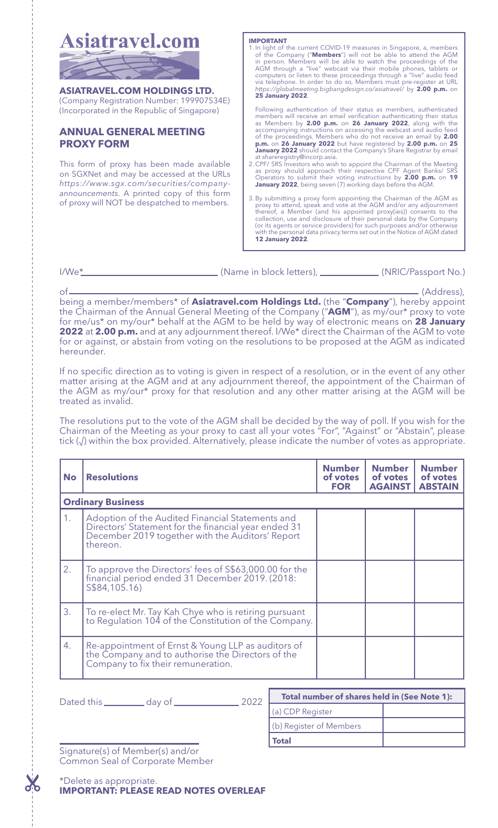

of (Address), being a member/members\* of **Asiatravel.com Holdings Ltd.** (the "**Company**"), hereby appoint the Chairman of the Annual General Meeting of the Company ("**AGM**"), as my/our\* proxy to vote for me/us\* on my/our\* behalf at the AGM to be held by way of electronic means on **28 January 2022** at **2.00 p.m.** and at any adjournment thereof. I/We\* direct the Chairman of the AGM to vote for or against, or abstain from voting on the resolutions to be proposed at the AGM as indicated hereunder.

If no specific direction as to voting is given in respect of a resolution, or in the event of any other matter arising at the AGM and at any adjournment thereof, the appointment of the Chairman of the AGM as my/our\* proxy for that resolution and any other matter arising at the AGM will be treated as invalid.

The resolutions put to the vote of the AGM shall be decided by the way of poll. If you wish for the Chairman of the Meeting as your proxy to cast all your votes "For", "Against" or "Abstain", please tick (√) within the box provided. Alternatively, please indicate the number of votes as appropriate.

| <b>No</b>                | <b>Resolutions</b>                                                                                                                                                       | <b>Number</b><br>of votes<br><b>FOR</b> | <b>Number</b><br>of votes<br><b>AGAINST</b> | <b>Number</b><br>of votes<br><b>ABSTAIN</b> |  |
|--------------------------|--------------------------------------------------------------------------------------------------------------------------------------------------------------------------|-----------------------------------------|---------------------------------------------|---------------------------------------------|--|
| <b>Ordinary Business</b> |                                                                                                                                                                          |                                         |                                             |                                             |  |
| 1.                       | Adoption of the Audited Financial Statements and<br>Directors' Statement for the financial year ended 31<br>December 2019 together with the Auditors' Report<br>thereon. |                                         |                                             |                                             |  |
| 2.                       | To approve the Directors' fees of \$\$63,000.00 for the<br>financial period ended 31 December 2019. (2018:<br>S\$84,105,16)                                              |                                         |                                             |                                             |  |
| 3.                       | To re-elect Mr. Tay Kah Chye who is retiring pursuant<br>to Regulation 104 of the Constitution of the Company.                                                           |                                         |                                             |                                             |  |
| 4.                       | Re-appointment of Ernst & Young LLP as auditors of<br>the Company and to authorise the Directors of the<br>Company to fix their remuneration.                            |                                         |                                             |                                             |  |

| 2022<br>Dated this_<br>dav of | Total number of shares held in (See Note 1): |  |  |
|-------------------------------|----------------------------------------------|--|--|
|                               | (a) CDP Register                             |  |  |
|                               | (b) Register of Members                      |  |  |
|                               | <b>Total</b>                                 |  |  |

Signature(s) of Member(s) and/or Common Seal of Corporate Member

\*Delete as appropriate. **IMPORTANT: PLEASE READ NOTES OVERLEAF**